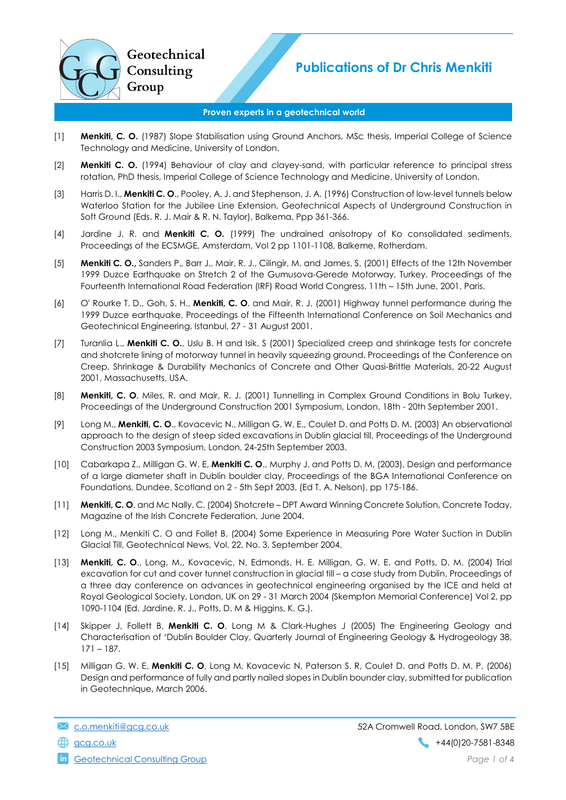

## Proven experts in a geotechnical world

- [1] **Menkiti, C. O.** (1987) Slope Stabilisation using Ground Anchors, MSc thesis, Imperial College of Science Technology and Medicine, University of London.
- [2] **Menkiti C. O.** (1994) Behaviour of clay and clayey-sand, with particular reference to principal stress rotation, PhD thesis, Imperial College of Science Technology and Medicine, University of London.
- [3] Harris D. I., **Menkiti C. O.**, Pooley, A. J. and Stephenson, J. A. (1996) Construction of low-level tunnels below Waterloo Station for the Jubilee Line Extension, Geotechnical Aspects of Underground Construction in Soft Ground (Eds. R. J. Mair & R. N. Taylor), Balkema, Ppp 361-366.
- [4] Jardine J. R. and Menkiti C. O. (1999) The undrained anisotropy of Ko consolidated sediments, Proceedings of the ECSMGE, Amsterdam, Vol 2 pp 1101-1108, Balkeme, Rotherdam.
- [5] **Menkiti C. O.,** Sanders P., Barr J., Mair, R. J., Cilingir, M. and James, S. (2001) Effects of the 12th November 1999 Duzce Earthquake on Stretch 2 of the Gumusova-Gerede Motorway, Turkey, Proceedings of the Fourteenth International Road Federation (IRF) Road World Congress, 11th – 15th June, 2001, Paris.
- [6] O' Rourke T. D., Goh, S. H., Menkiti, C. O. and Mair, R. J. (2001) Highway tunnel performance during the 1999 Duzce earthquake, Proceedings of the Fifteenth International Conference on Soil Mechanics and Geotechnical Engineering, Istanbul, 27 - 31 August 2001.
- [7] Turanlia L., Menkiti C. O., Uslu B. H and Isik, S (2001) Specialized creep and shrinkage tests for concrete and shotcrete lining of motorway tunnel in heavily squeezing ground, Proceedings of the Conference on Creep, Shrinkage & Durability Mechanics of Concrete and Other Quasi-Brittle Materials, 20-22 August 2001, Massachusetts, USA.
- [8] **Menkiti, C. O**, Miles, R. and Mair, R. J. (2001) Tunnelling in Complex Ground Conditions in Bolu Turkey, Proceedings of the Underground Construction 2001 Symposium, London, 18th - 20th September 2001.
- [9] Long M., Menkiti, C. O., Kovacevic N., Milligan G. W. E., Coulet D. and Potts D. M. (2003) An observational approach to the design of steep sided excavations in Dublin glacial till, Proceedings of the Underground Construction 2003 Symposium, London, 24-25th September 2003.
- [10] Cabarkapa Z., Milligan G. W. E, Menkiti C. O., Murphy J. and Potts D. M. (2003), Design and performance of a large diameter shaft in Dublin boulder clay, Proceedings of the BGA International Conference on Foundations, Dundee, Scotland on 2 - 5th Sept 2003, (Ed T. A. Nelson), pp 175-186.
- [11] Menkiti, C. O. and Mc Nally, C. (2004) Shotcrete DPT Award Winning Concrete Solution, Concrete Today, Magazine of the Irish Concrete Federation, June 2004.
- [12] Long M., Menkiti C. O and Follet B. (2004) Some Experience in Measuring Pore Water Suction in Dublin Glacial Till, Geotechnical News, Vol. 22, No. 3, September 2004.
- [13] Menkiti, C. O., Long, M., Kovacevic, N, Edmonds, H. E. Milligan, G. W. E. and Potts, D. M. (2004) Trial excavation for cut and cover tunnel construction in glacial till – a case study from Dublin, Proceedings of a three day conference on advances in geotechnical engineering organised by the ICE and held at Royal Geological Society, London, UK on 29 - 31 March 2004 (Skempton Memorial Conference) Vol 2, pp 1090-1104 (Ed. Jardine, R. J., Potts, D. M & Higgins, K. G.).
- [14] Skipper J, Follett B, Menkiti C. O, Long M & Clark-Hughes J (2005) The Engineering Geology and Characterisation of 'Dublin Boulder Clay, Quarterly Journal of Engineering Geology & Hydrogeology 38, 171 – 187.
- [15] Milligan G. W. E, Menkiti C. O, Long M, Kovacevic N, Paterson S. R, Coulet D. and Potts D. M. P. (2006) Design and performance of fully and partly nailed slopes in Dublin bounder clay, submitted for publication in Geotechnique, March 2006.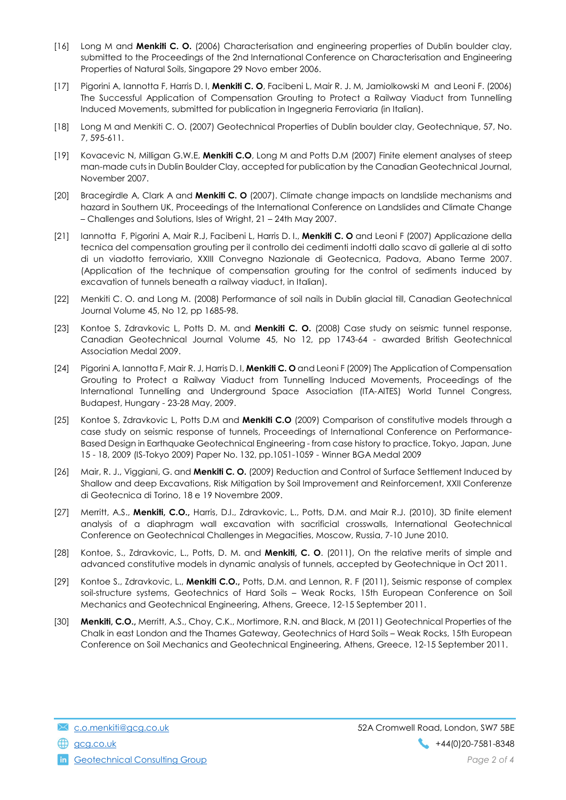- [16] Long M and Menkiti C. O. (2006) Characterisation and engineering properties of Dublin boulder clay, submitted to the Proceedings of the 2nd International Conference on Characterisation and Engineering Properties of Natural Soils, Singapore 29 Novo ember 2006.
- [17] Pigorini A, Iannotta F, Harris D. I, Menkiti C. O, Facibeni L, Mair R. J. M, Jamiolkowski M and Leoni F. (2006) The Successful Application of Compensation Grouting to Protect a Railway Viaduct from Tunnelling Induced Movements, submitted for publication in Ingegneria Ferroviaria (in Italian).
- [18] Long M and Menkiti C. O. (2007) Geotechnical Properties of Dublin boulder clay, Geotechnique, 57, No. 7, 595-611.
- [19] Kovacevic N, Milligan G.W.E, Menkiti C.O, Long M and Potts D.M (2007) Finite element analyses of steep man-made cuts in Dublin Boulder Clay, accepted for publication by the Canadian Geotechnical Journal, November 2007.
- [20] Bracegirdle A, Clark A and Menkiti C. O (2007). Climate change impacts on landslide mechanisms and hazard in Southern UK, Proceedings of the International Conference on Landslides and Climate Change – Challenges and Solutions, Isles of Wright, 21 – 24th May 2007.
- [21] Iannotta F, Pigorini A, Mair R.J, Facibeni L, Harris D. I., Menkiti C. O and Leoni F (2007) Applicazione della tecnica del compensation grouting per il controllo dei cedimenti indotti dallo scavo di gallerie al di sotto di un viadotto ferroviario, XXIII Convegno Nazionale di Geotecnica, Padova, Abano Terme 2007. (Application of the technique of compensation grouting for the control of sediments induced by excavation of tunnels beneath a railway viaduct, in Italian).
- [22] Menkiti C. O. and Long M. (2008) Performance of soil nails in Dublin glacial till, Canadian Geotechnical Journal Volume 45, No 12, pp 1685-98.
- [23] Kontoe S, Zdravkovic L, Potts D. M. and Menkiti C. O. (2008) Case study on seismic tunnel response, Canadian Geotechnical Journal Volume 45, No 12, pp 1743-64 - awarded British Geotechnical Association Medal 2009.
- [24] Pigorini A, Iannotta F, Mair R. J, Harris D. I, Menkiti C. O and Leoni F (2009) The Application of Compensation Grouting to Protect a Railway Viaduct from Tunnelling Induced Movements, Proceedings of the International Tunnelling and Underground Space Association (ITA-AITES) World Tunnel Congress, Budapest, Hungary - 23-28 May, 2009.
- [25] Kontoe S, Zdravkovic L, Potts D.M and Menkiti C.O (2009) Comparison of constitutive models through a case study on seismic response of tunnels, Proceedings of International Conference on Performance-Based Design in Earthquake Geotechnical Engineering - from case history to practice, Tokyo, Japan, June 15 - 18, 2009 (IS-Tokyo 2009) Paper No. 132, pp.1051-1059 - Winner BGA Medal 2009
- [26] Mair, R. J., Viggiani, G. and Menkiti C. O. (2009) Reduction and Control of Surface Settlement Induced by Shallow and deep Excavations, Risk Mitigation by Soil Improvement and Reinforcement, XXII Conferenze di Geotecnica di Torino, 18 e 19 Novembre 2009.
- [27] Merritt, A.S., Menkiti, C.O., Harris, D.I., Zdravkovic, L., Potts, D.M. and Mair R.J. (2010), 3D finite element analysis of a diaphragm wall excavation with sacrificial crosswalls, International Geotechnical Conference on Geotechnical Challenges in Megacities, Moscow, Russia, 7-10 June 2010.
- [28] Kontoe, S., Zdravkovic, L., Potts, D. M. and Menkiti, C. O. (2011), On the relative merits of simple and advanced constitutive models in dynamic analysis of tunnels, accepted by Geotechnique in Oct 2011.
- [29] Kontoe S., Zdravkovic, L., Menkiti C.O., Potts, D.M. and Lennon, R. F (2011), Seismic response of complex soil-structure systems, Geotechnics of Hard Soils – Weak Rocks, 15th European Conference on Soil Mechanics and Geotechnical Engineering, Athens, Greece, 12-15 September 2011.
- [30] **Menkiti, C.O.,** Merritt, A.S., Choy, C.K., Mortimore, R.N. and Black, M (2011) Geotechnical Properties of the Chalk in east London and the Thames Gateway, Geotechnics of Hard Soils – Weak Rocks, 15th European Conference on Soil Mechanics and Geotechnical Engineering, Athens, Greece, 12-15 September 2011.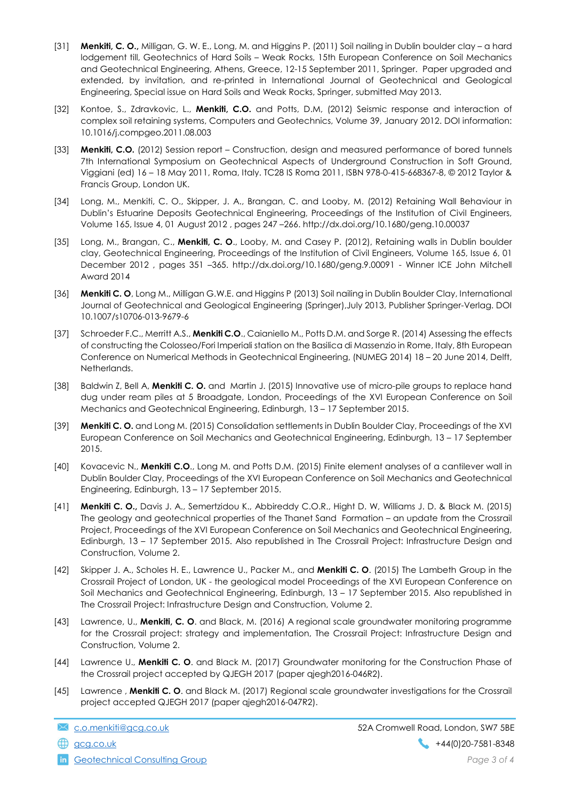- [31] Menkiti, C. O., Milligan, G. W. E., Long, M. and Higgins P. (2011) Soil nailing in Dublin boulder clay a hard lodgement till, Geotechnics of Hard Soils – Weak Rocks, 15th European Conference on Soil Mechanics and Geotechnical Engineering, Athens, Greece, 12-15 September 2011, Springer. Paper upgraded and extended, by invitation, and re-printed in International Journal of Geotechnical and Geological Engineering, Special issue on Hard Soils and Weak Rocks, Springer, submitted May 2013.
- [32] Kontoe, S., Zdravkovic, L., Menkiti, C.O. and Potts, D.M, (2012) Seismic response and interaction of complex soil retaining systems, Computers and Geotechnics, Volume 39, January 2012. DOI information: 10.1016/j.compgeo.2011.08.003
- [33] **Menkiti, C.O.** (2012) Session report Construction, design and measured performance of bored tunnels 7th International Symposium on Geotechnical Aspects of Underground Construction in Soft Ground, Viggiani (ed) 16 – 18 May 2011, Roma, Italy. TC28 IS Roma 2011, ISBN 978-0-415-668367-8, © 2012 Taylor & Francis Group, London UK.
- [34] Long, M., Menkiti, C. O., Skipper, J. A., Brangan, C. and Looby, M. (2012) Retaining Wall Behaviour in Dublin's Estuarine Deposits Geotechnical Engineering, Proceedings of the Institution of Civil Engineers, Volume 165, Issue 4, 01 August 2012 , pages 247 –266. http://dx.doi.org/10.1680/geng.10.00037
- [35] Long, M., Brangan, C., Menkiti, C. O., Looby, M. and Casey P. (2012), Retaining walls in Dublin boulder clay, Geotechnical Engineering, Proceedings of the Institution of Civil Engineers, Volume 165, Issue 6, 01 December 2012 , pages 351 –365. http://dx.doi.org/10.1680/geng.9.00091 - Winner ICE John Mitchell Award 2014
- [36] Menkiti C. O, Long M., Milligan G.W.E. and Higgins P (2013) Soil nailing in Dublin Boulder Clay, International Journal of Geotechnical and Geological Engineering (Springer),July 2013, Publisher Springer-Verlag. DOI 10.1007/s10706-013-9679-6
- [37] Schroeder F.C., Merritt A.S., Menkiti C.O., Caianiello M., Potts D.M. and Sorge R. (2014) Assessing the effects of constructing the Colosseo/Fori Imperiali station on the Basilica di Massenzio in Rome, Italy, 8th European Conference on Numerical Methods in Geotechnical Engineering, (NUMEG 2014) 18 – 20 June 2014, Delft, Netherlands.
- [38] Baldwin Z, Bell A, Menkiti C. O. and Martin J. (2015) Innovative use of micro-pile groups to replace hand dug under ream piles at 5 Broadgate, London, Proceedings of the XVI European Conference on Soil Mechanics and Geotechnical Engineering, Edinburgh, 13 – 17 September 2015.
- [39] **Menkiti C. O.** and Long M. (2015) Consolidation settlements in Dublin Boulder Clay, Proceedings of the XVI European Conference on Soil Mechanics and Geotechnical Engineering, Edinburgh, 13 – 17 September 2015.
- [40] Kovacevic N., Menkiti C.O., Long M. and Potts D.M. (2015) Finite element analyses of a cantilever wall in Dublin Boulder Clay, Proceedings of the XVI European Conference on Soil Mechanics and Geotechnical Engineering, Edinburgh, 13 – 17 September 2015.
- [41] **Menkiti C. O.**, Davis J. A., Semertzidou K., Abbireddy C.O.R., Hight D. W, Williams J. D. & Black M. (2015) The geology and geotechnical properties of the Thanet Sand Formation – an update from the Crossrail Project, Proceedings of the XVI European Conference on Soil Mechanics and Geotechnical Engineering, Edinburgh, 13 – 17 September 2015. Also republished in The Crossrail Project: Infrastructure Design and Construction, Volume 2.
- [42] Skipper J. A., Scholes H. E., Lawrence U., Packer M., and Menkiti C. O. (2015) The Lambeth Group in the Crossrail Project of London, UK - the geological model Proceedings of the XVI European Conference on Soil Mechanics and Geotechnical Engineering, Edinburgh, 13 – 17 September 2015. Also republished in The Crossrail Project: Infrastructure Design and Construction, Volume 2.
- [43] Lawrence, U., Menkiti, C. O. and Black, M. (2016) A regional scale groundwater monitoring programme for the Crossrail project: strategy and implementation, The Crossrail Project: Infrastructure Design and Construction, Volume 2.
- [44] Lawrence U., Menkiti C. O. and Black M. (2017) Groundwater monitoring for the Construction Phase of the Crossrail project accepted by QJEGH 2017 (paper qjegh2016-046R2).
- [45] Lawrence, Menkiti C. O. and Black M. (2017) Regional scale groundwater investigations for the Crossrail project accepted QJEGH 2017 (paper qjegh2016-047R2).